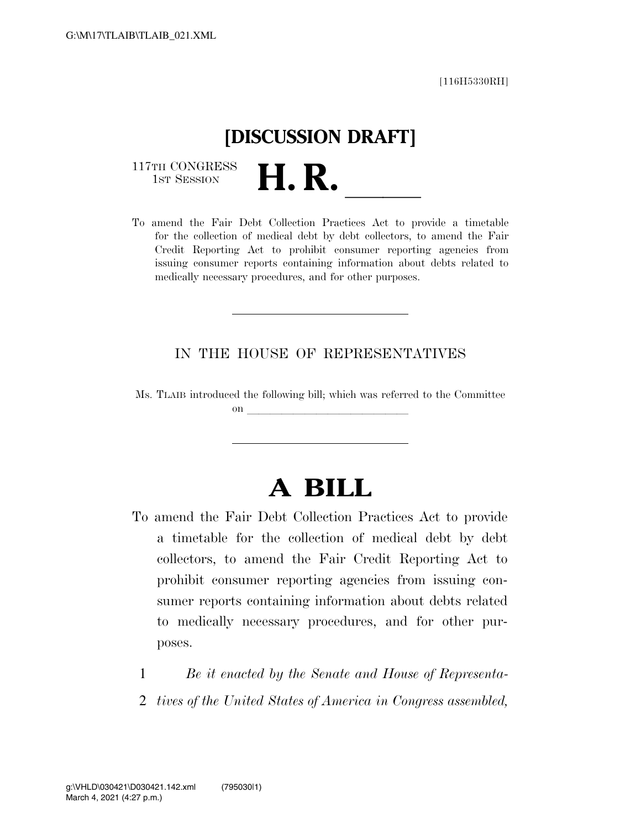[116H5330RH]

# **[DISCUSSION DRAFT]**

117TH CONGRESS<br>1st Session

117TH CONGRESS<br>1st SESSION<br>To amend the Fair Debt Collection Practices Act to provide a timetable for the collection of medical debt by debt collectors, to amend the Fair Credit Reporting Act to prohibit consumer reporting agencies from issuing consumer reports containing information about debts related to medically necessary procedures, and for other purposes.

#### IN THE HOUSE OF REPRESENTATIVES

Ms. TLAIB introduced the following bill; which was referred to the Committee on  $\overline{\qquad \qquad }$ 

## **A BILL**

- To amend the Fair Debt Collection Practices Act to provide a timetable for the collection of medical debt by debt collectors, to amend the Fair Credit Reporting Act to prohibit consumer reporting agencies from issuing consumer reports containing information about debts related to medically necessary procedures, and for other purposes.
	- 1 *Be it enacted by the Senate and House of Representa-*
	- 2 *tives of the United States of America in Congress assembled,*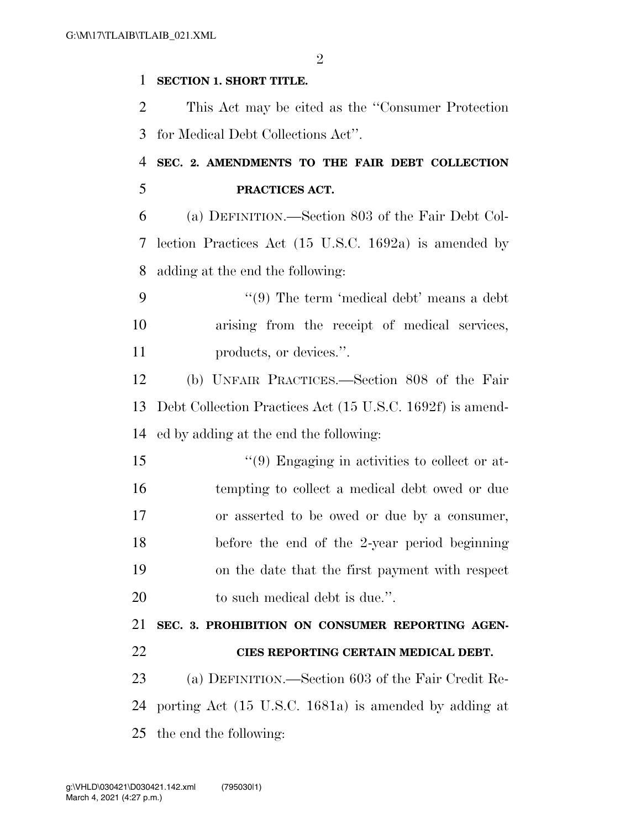$\mathfrak{D}$ 

#### **SECTION 1. SHORT TITLE.**

 This Act may be cited as the ''Consumer Protection for Medical Debt Collections Act''.

### **SEC. 2. AMENDMENTS TO THE FAIR DEBT COLLECTION PRACTICES ACT.**

 (a) DEFINITION.—Section 803 of the Fair Debt Col- lection Practices Act (15 U.S.C. 1692a) is amended by adding at the end the following:

 ''(9) The term 'medical debt' means a debt arising from the receipt of medical services, 11 products, or devices.".

 (b) UNFAIR PRACTICES.—Section 808 of the Fair Debt Collection Practices Act (15 U.S.C. 1692f) is amend-ed by adding at the end the following:

 ''(9) Engaging in activities to collect or at- tempting to collect a medical debt owed or due or asserted to be owed or due by a consumer, before the end of the 2-year period beginning on the date that the first payment with respect 20 to such medical debt is due.".

 **SEC. 3. PROHIBITION ON CONSUMER REPORTING AGEN- CIES REPORTING CERTAIN MEDICAL DEBT.**  (a) DEFINITION.—Section 603 of the Fair Credit Re-

 porting Act (15 U.S.C. 1681a) is amended by adding at the end the following: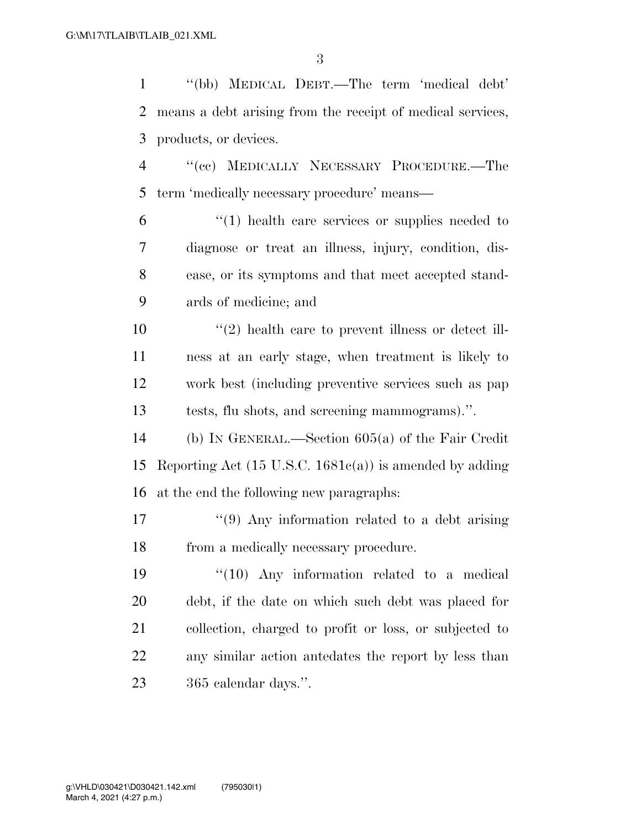| $\mathbf{1}$   | "(bb) MEDICAL DEBT.—The term 'medical debt'                        |
|----------------|--------------------------------------------------------------------|
| $\overline{2}$ | means a debt arising from the receipt of medical services,         |
| 3              | products, or devices.                                              |
| $\overline{4}$ | "(ee) MEDICALLY NECESSARY PROCEDURE.—The                           |
| 5              | term 'medically necessary procedure' means—                        |
| 6              | $\lq(1)$ health care services or supplies needed to                |
| 7              | diagnose or treat an illness, injury, condition, dis-              |
| 8              | ease, or its symptoms and that meet accepted stand-                |
| 9              | ards of medicine; and                                              |
| 10             | $\lq(2)$ health care to prevent illness or detect ill-             |
| 11             | ness at an early stage, when treatment is likely to                |
| 12             | work best (including preventive services such as pap               |
| 13             | tests, flu shots, and screening mammograms).".                     |
| 14             | (b) IN GENERAL.—Section $605(a)$ of the Fair Credit                |
| 15             | Reporting Act $(15 \text{ U.S.C. } 1681c(a))$ is amended by adding |
| 16             | at the end the following new paragraphs:                           |
| 17             | $\lq(9)$ Any information related to a debt arising                 |
| 18             | from a medically necessary procedure.                              |
| 19             | $\degree$ (10) Any information related to a medical                |
| <b>20</b>      | debt, if the date on which such debt was placed for                |
| 21             | collection, charged to profit or loss, or subjected to             |
| <u>22</u>      | any similar action antedates the report by less than               |
| 23             | 365 calendar days.".                                               |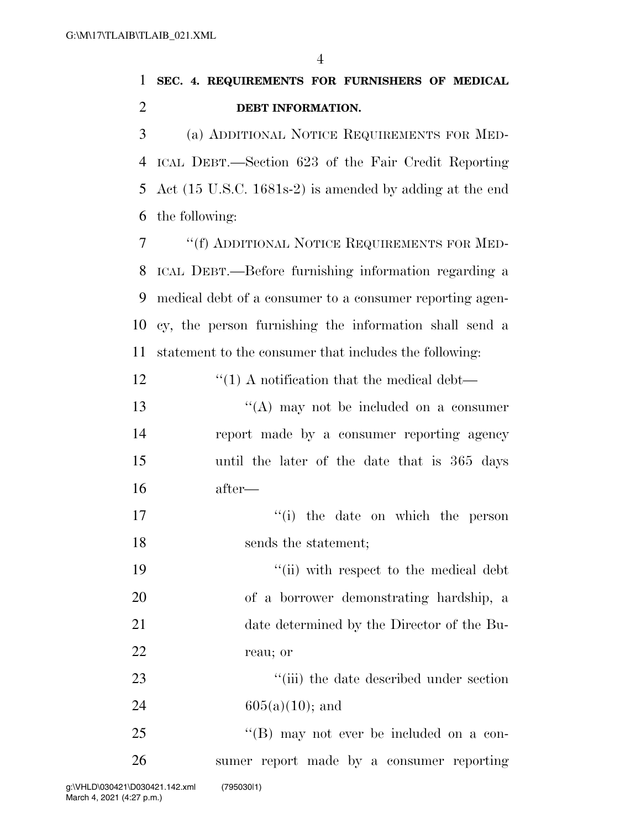|               | SEC. 4. REQUIREMENTS FOR FURNISHERS OF MEDICAL                              |
|---------------|-----------------------------------------------------------------------------|
| - 2           | DEBT INFORMATION.                                                           |
| $\mathcal{E}$ | (a) ADDITIONAL NOTICE REQUIREMENTS FOR MED-                                 |
|               | 4 ICAL DEBT.—Section 623 of the Fair Credit Reporting                       |
|               | 5 Act $(15 \text{ U.S.C. } 1681\text{s-}2)$ is amended by adding at the end |

the following:

 ''(f) ADDITIONAL NOTICE REQUIREMENTS FOR MED- ICAL DEBT.—Before furnishing information regarding a medical debt of a consumer to a consumer reporting agen- cy, the person furnishing the information shall send a statement to the consumer that includes the following:

12  $\frac{1}{2}$   $\frac{1}{2}$   $\frac{1}{2}$  A notification that the medical debt—

13 ''(A) may not be included on a consumer report made by a consumer reporting agency until the later of the date that is 365 days after—

17 ''(i) the date on which the person 18 sends the statement:

 $\frac{1}{2}$  ''(ii) with respect to the medical debt of a borrower demonstrating hardship, a date determined by the Director of the Bu-reau; or

23 ''(iii) the date described under section 24 605(a)(10); and

25 "'(B) may not ever be included on a con-sumer report made by a consumer reporting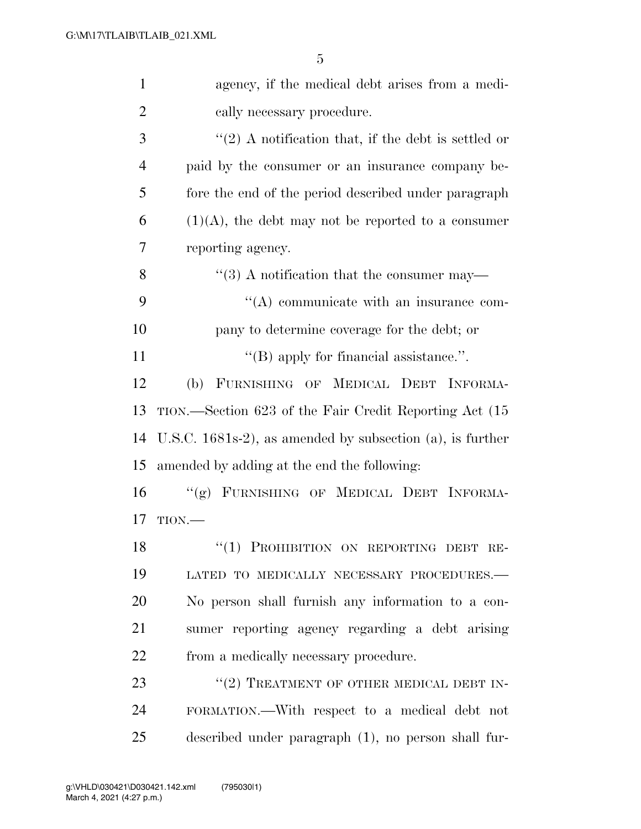| $\mathbf{1}$   | agency, if the medical debt arises from a medi-             |
|----------------|-------------------------------------------------------------|
| $\overline{2}$ | cally necessary procedure.                                  |
| 3              | $\lq(2)$ A notification that, if the debt is settled or     |
| $\overline{4}$ | paid by the consumer or an insurance company be-            |
| 5              | fore the end of the period described under paragraph        |
| 6              | $(1)(A)$ , the debt may not be reported to a consumer       |
| 7              | reporting agency.                                           |
| 8              | $\cdot\cdot\cdot(3)$ A notification that the consumer may—  |
| 9              | "(A) communicate with an insurance com-                     |
| 10             | pany to determine coverage for the debt; or                 |
| 11             | $\lq\lq$ (B) apply for financial assistance.".              |
| 12             | (b) FURNISHING OF MEDICAL DEBT INFORMA-                     |
| 13             | TION.—Section 623 of the Fair Credit Reporting Act (15      |
| 14             | U.S.C. $1681s-2$ , as amended by subsection (a), is further |
| 15             | amended by adding at the end the following:                 |
| 16             | "(g) FURNISHING OF MEDICAL DEBT INFORMA-                    |
| 17             | TION.                                                       |
| 18             | "(1) PROHIBITION ON REPORTING DEBT RE-                      |
| 19             | LATED TO MEDICALLY NECESSARY PROCEDURES.-                   |
| 20             | No person shall furnish any information to a con-           |
| 21             | sumer reporting agency regarding a debt arising             |
| 22             | from a medically necessary procedure.                       |
| 23             | "(2) TREATMENT OF OTHER MEDICAL DEBT IN-                    |
| 24             | FORMATION.—With respect to a medical debt not               |
| 25             | described under paragraph (1), no person shall fur-         |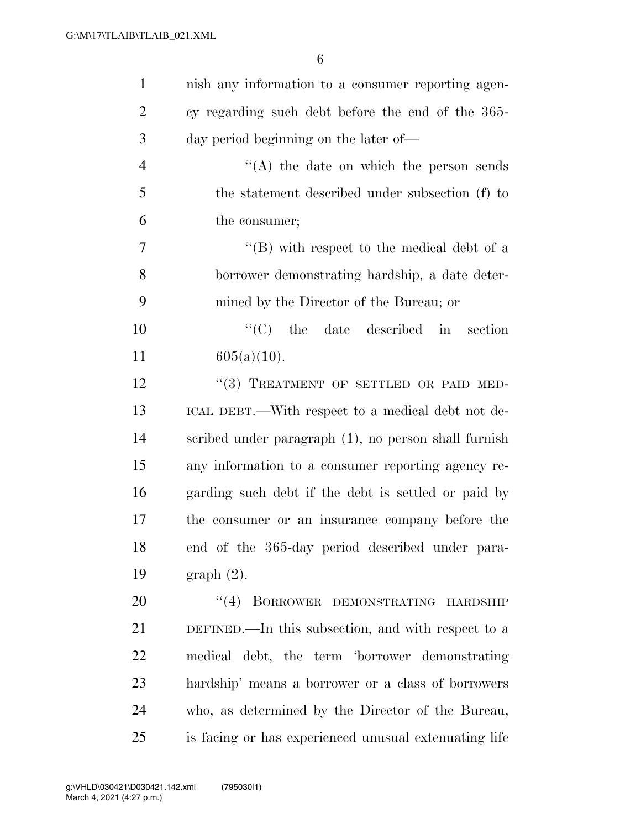| $\mathbf{1}$   | nish any information to a consumer reporting agen-    |
|----------------|-------------------------------------------------------|
| $\overline{2}$ | cy regarding such debt before the end of the 365-     |
| 3              | day period beginning on the later of—                 |
| $\overline{4}$ | "(A) the date on which the person sends               |
| 5              | the statement described under subsection (f) to       |
| 6              | the consumer;                                         |
| 7              | $\lq\lq (B)$ with respect to the medical debt of a    |
| 8              | borrower demonstrating hardship, a date deter-        |
| 9              | mined by the Director of the Bureau; or               |
| 10             | $\lq\lq$ (C) the date described in section            |
| 11             | $605(a)(10)$ .                                        |
| 12             | "(3) TREATMENT OF SETTLED OR PAID MED-                |
| 13             | ICAL DEBT.—With respect to a medical debt not de-     |
| 14             | scribed under paragraph (1), no person shall furnish  |
| 15             | any information to a consumer reporting agency re-    |
| 16             | garding such debt if the debt is settled or paid by   |
| 17             | the consumer or an insurance company before the       |
| 18             | end of the 365-day period described under para-       |
| 19             | $graph(2)$ .                                          |
| 20             | (4)<br>BORROWER DEMONSTRATING HARDSHIP                |
| 21             | DEFINED.—In this subsection, and with respect to a    |
| 22             | medical debt, the term 'borrower demonstrating        |
| 23             | hardship' means a borrower or a class of borrowers    |
| 24             | who, as determined by the Director of the Bureau,     |
| 25             | is facing or has experienced unusual extenuating life |